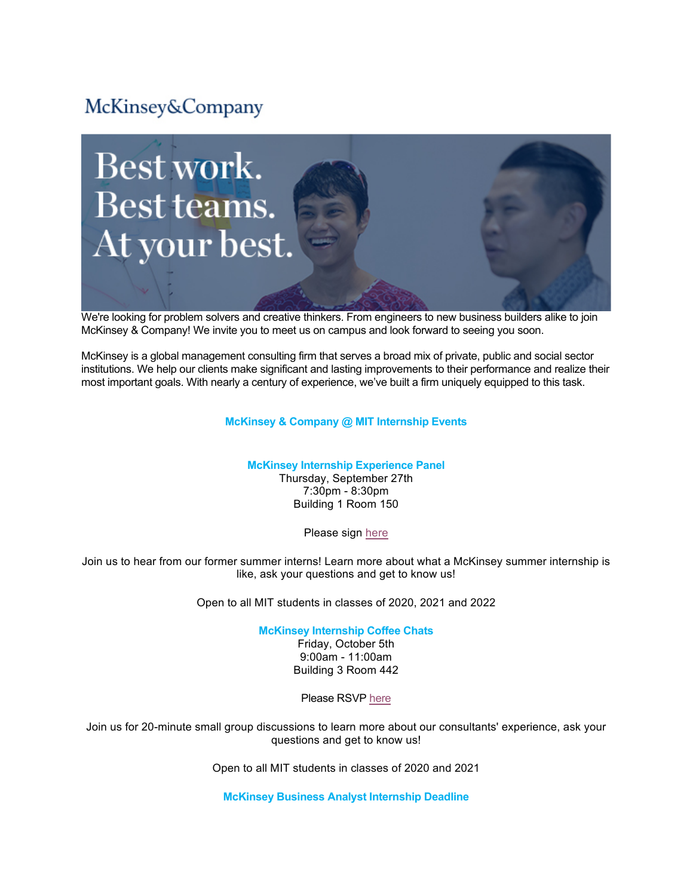# McKinsey&Company



We're looking for problem solvers and creative thinkers. From engineers to new business builders alike to join McKinsey & Company! We invite you to meet us on campus and look forward to seeing you soon.

McKinsey is a global management consulting firm that serves a broad mix of private, public and social sector institutions. We help our clients make significant and lasting improvements to their performance and realize their most important goals. With nearly a century of experience, we've built a firm uniquely equipped to this task.

## **McKinsey & Company @ MIT Internship Events**

#### **McKinsey Internship Experience Panel**

Thursday, September 27th 7:30pm - 8:30pm Building 1 Room 150

Please sign here

Join us to hear from our former summer interns! Learn more about what a McKinsey summer internship is like, ask your questions and get to know us!

Open to all MIT students in classes of 2020, 2021 and 2022

**McKinsey Internship Coffee Chats** Friday, October 5th

9:00am - 11:00am Building 3 Room 442

Please RSVP here

Join us for 20-minute small group discussions to learn more about our consultants' experience, ask your questions and get to know us!

Open to all MIT students in classes of 2020 and 2021

**McKinsey Business Analyst Internship Deadline**